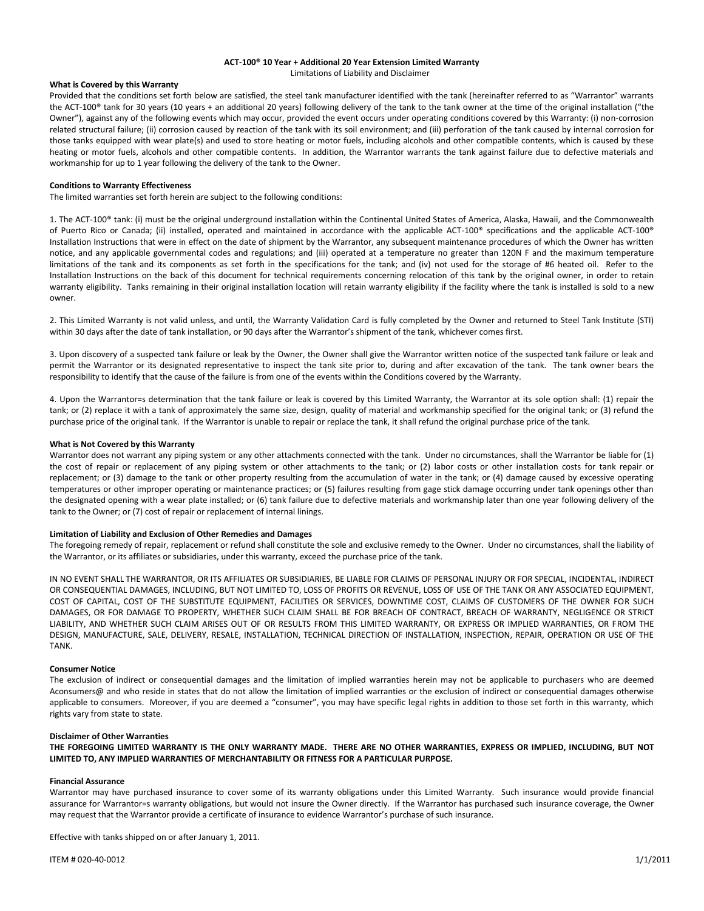# **ACT-100® 10 Year + Additional 20 Year Extension Limited Warranty** Limitations of Liability and Disclaimer

# **What is Covered by this Warranty**

Provided that the conditions set forth below are satisfied, the steel tank manufacturer identified with the tank (hereinafter referred to as "Warrantor" warrants the ACT-100® tank for 30 years (10 years + an additional 20 years) following delivery of the tank to the tank owner at the time of the original installation ("the Owner"), against any of the following events which may occur, provided the event occurs under operating conditions covered by this Warranty: (i) non-corrosion related structural failure; (ii) corrosion caused by reaction of the tank with its soil environment; and (iii) perforation of the tank caused by internal corrosion for those tanks equipped with wear plate(s) and used to store heating or motor fuels, including alcohols and other compatible contents, which is caused by these heating or motor fuels, alcohols and other compatible contents. In addition, the Warrantor warrants the tank against failure due to defective materials and workmanship for up to 1 year following the delivery of the tank to the Owner.

# **Conditions to Warranty Effectiveness**

The limited warranties set forth herein are subject to the following conditions:

1. The ACT-100® tank: (i) must be the original underground installation within the Continental United States of America, Alaska, Hawaii, and the Commonwealth of Puerto Rico or Canada; (ii) installed, operated and maintained in accordance with the applicable ACT-100® specifications and the applicable ACT-100® Installation Instructions that were in effect on the date of shipment by the Warrantor, any subsequent maintenance procedures of which the Owner has written notice, and any applicable governmental codes and regulations; and (iii) operated at a temperature no greater than 120N F and the maximum temperature limitations of the tank and its components as set forth in the specifications for the tank; and (iv) not used for the storage of #6 heated oil. Refer to the Installation Instructions on the back of this document for technical requirements concerning relocation of this tank by the original owner, in order to retain warranty eligibility. Tanks remaining in their original installation location will retain warranty eligibility if the facility where the tank is installed is sold to a new owner.

2. This Limited Warranty is not valid unless, and until, the Warranty Validation Card is fully completed by the Owner and returned to Steel Tank Institute (STI) within 30 days after the date of tank installation, or 90 days after the Warrantor's shipment of the tank, whichever comes first.

3. Upon discovery of a suspected tank failure or leak by the Owner, the Owner shall give the Warrantor written notice of the suspected tank failure or leak and permit the Warrantor or its designated representative to inspect the tank site prior to, during and after excavation of the tank. The tank owner bears the responsibility to identify that the cause of the failure is from one of the events within the Conditions covered by the Warranty.

4. Upon the Warrantor=s determination that the tank failure or leak is covered by this Limited Warranty, the Warrantor at its sole option shall: (1) repair the tank; or (2) replace it with a tank of approximately the same size, design, quality of material and workmanship specified for the original tank; or (3) refund the purchase price of the original tank. If the Warrantor is unable to repair or replace the tank, it shall refund the original purchase price of the tank.

# **What is Not Covered by this Warranty**

Warrantor does not warrant any piping system or any other attachments connected with the tank. Under no circumstances, shall the Warrantor be liable for (1) the cost of repair or replacement of any piping system or other attachments to the tank; or (2) labor costs or other installation costs for tank repair or replacement; or (3) damage to the tank or other property resulting from the accumulation of water in the tank; or (4) damage caused by excessive operating temperatures or other improper operating or maintenance practices; or (5) failures resulting from gage stick damage occurring under tank openings other than the designated opening with a wear plate installed; or (6) tank failure due to defective materials and workmanship later than one year following delivery of the tank to the Owner; or (7) cost of repair or replacement of internal linings.

## **Limitation of Liability and Exclusion of Other Remedies and Damages**

The foregoing remedy of repair, replacement or refund shall constitute the sole and exclusive remedy to the Owner. Under no circumstances, shall the liability of the Warrantor, or its affiliates or subsidiaries, under this warranty, exceed the purchase price of the tank.

IN NO EVENT SHALL THE WARRANTOR, OR ITS AFFILIATES OR SUBSIDIARIES, BE LIABLE FOR CLAIMS OF PERSONAL INJURY OR FOR SPECIAL, INCIDENTAL, INDIRECT OR CONSEQUENTIAL DAMAGES, INCLUDING, BUT NOT LIMITED TO, LOSS OF PROFITS OR REVENUE, LOSS OF USE OF THE TANK OR ANY ASSOCIATED EQUIPMENT, COST OF CAPITAL, COST OF THE SUBSTITUTE EQUIPMENT, FACILITIES OR SERVICES, DOWNTIME COST, CLAIMS OF CUSTOMERS OF THE OWNER FOR SUCH DAMAGES, OR FOR DAMAGE TO PROPERTY, WHETHER SUCH CLAIM SHALL BE FOR BREACH OF CONTRACT, BREACH OF WARRANTY, NEGLIGENCE OR STRICT LIABILITY, AND WHETHER SUCH CLAIM ARISES OUT OF OR RESULTS FROM THIS LIMITED WARRANTY, OR EXPRESS OR IMPLIED WARRANTIES, OR FROM THE DESIGN, MANUFACTURE, SALE, DELIVERY, RESALE, INSTALLATION, TECHNICAL DIRECTION OF INSTALLATION, INSPECTION, REPAIR, OPERATION OR USE OF THE TANK.

## **Consumer Notice**

The exclusion of indirect or consequential damages and the limitation of implied warranties herein may not be applicable to purchasers who are deemed Aconsumers@ and who reside in states that do not allow the limitation of implied warranties or the exclusion of indirect or consequential damages otherwise applicable to consumers. Moreover, if you are deemed a "consumer", you may have specific legal rights in addition to those set forth in this warranty, which rights vary from state to state.

# **Disclaimer of Other Warranties**

**THE FOREGOING LIMITED WARRANTY IS THE ONLY WARRANTY MADE. THERE ARE NO OTHER WARRANTIES, EXPRESS OR IMPLIED, INCLUDING, BUT NOT LIMITED TO, ANY IMPLIED WARRANTIES OF MERCHANTABILITY OR FITNESS FOR A PARTICULAR PURPOSE.** 

# **Financial Assurance**

Warrantor may have purchased insurance to cover some of its warranty obligations under this Limited Warranty. Such insurance would provide financial assurance for Warrantor=s warranty obligations, but would not insure the Owner directly. If the Warrantor has purchased such insurance coverage, the Owner may request that the Warrantor provide a certificate of insurance to evidence Warrantor's purchase of such insurance.

Effective with tanks shipped on or after January 1, 2011.